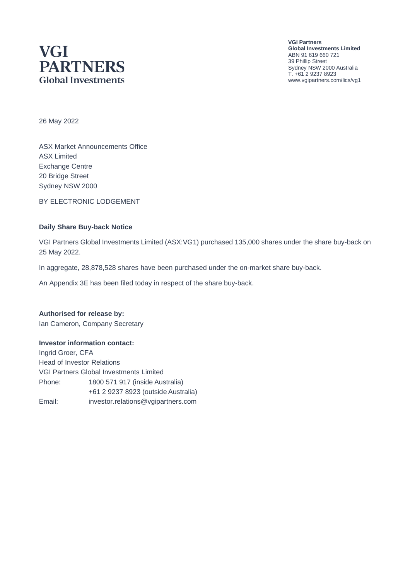# **VGI PARTNERS Global Investments**

**VGI Partners Global Investments Limited** ABN 91 619 660 721 39 Phillip Street Sydney NSW 2000 Australia T. +61 2 9237 8923 www.vgipartners.com/lics/vg1

26 May 2022

ASX Market Announcements Office ASX Limited Exchange Centre 20 Bridge Street Sydney NSW 2000

BY ELECTRONIC LODGEMENT

#### **Daily Share Buy-back Notice**

VGI Partners Global Investments Limited (ASX:VG1) purchased 135,000 shares under the share buy-back on 25 May 2022.

In aggregate, 28,878,528 shares have been purchased under the on-market share buy-back.

An Appendix 3E has been filed today in respect of the share buy-back.

### **Authorised for release by:**

Ian Cameron, Company Secretary

#### **Investor information contact:**

Ingrid Groer, CFA Head of Investor Relations VGI Partners Global Investments Limited Phone: 1800 571 917 (inside Australia) +61 2 9237 8923 (outside Australia) Email: investor.relations@vgipartners.com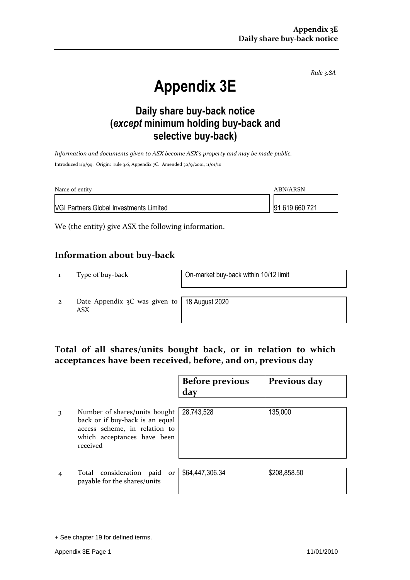*Rule 3.8A*

# **Appendix 3E**

## **Daily share buy-back notice (***except* **minimum holding buy-back and selective buy-back)**

*Information and documents given to ASX become ASX's property and may be made public.* Introduced 1/9/99. Origin: rule 3.6, Appendix 7C. Amended 30/9/2001, 11/01/10

| Name of entity                                 | ABN/ARSN       |
|------------------------------------------------|----------------|
| <b>VGI Partners Global Investments Limited</b> | 91 619 660 721 |

We (the entity) give ASX the following information.

#### **Information about buy-back**

1 Type of buy-back On-market buy-back within 10/12 limit

2 Date Appendix 3C was given to ASX

18 August 2020

## **Total of all shares/units bought back, or in relation to which acceptances have been received, before, and on, previous day**

|   |                                                                                                                                              | <b>Before previous</b><br>day | Previous day |
|---|----------------------------------------------------------------------------------------------------------------------------------------------|-------------------------------|--------------|
| 3 | Number of shares/units bought<br>back or if buy-back is an equal<br>access scheme, in relation to<br>which acceptances have been<br>received | 28,743,528                    | 135,000      |
|   | Total consideration paid<br>or<br>payable for the shares/units                                                                               | \$64,447,306.34               | \$208,858.50 |

<sup>+</sup> See chapter 19 for defined terms.